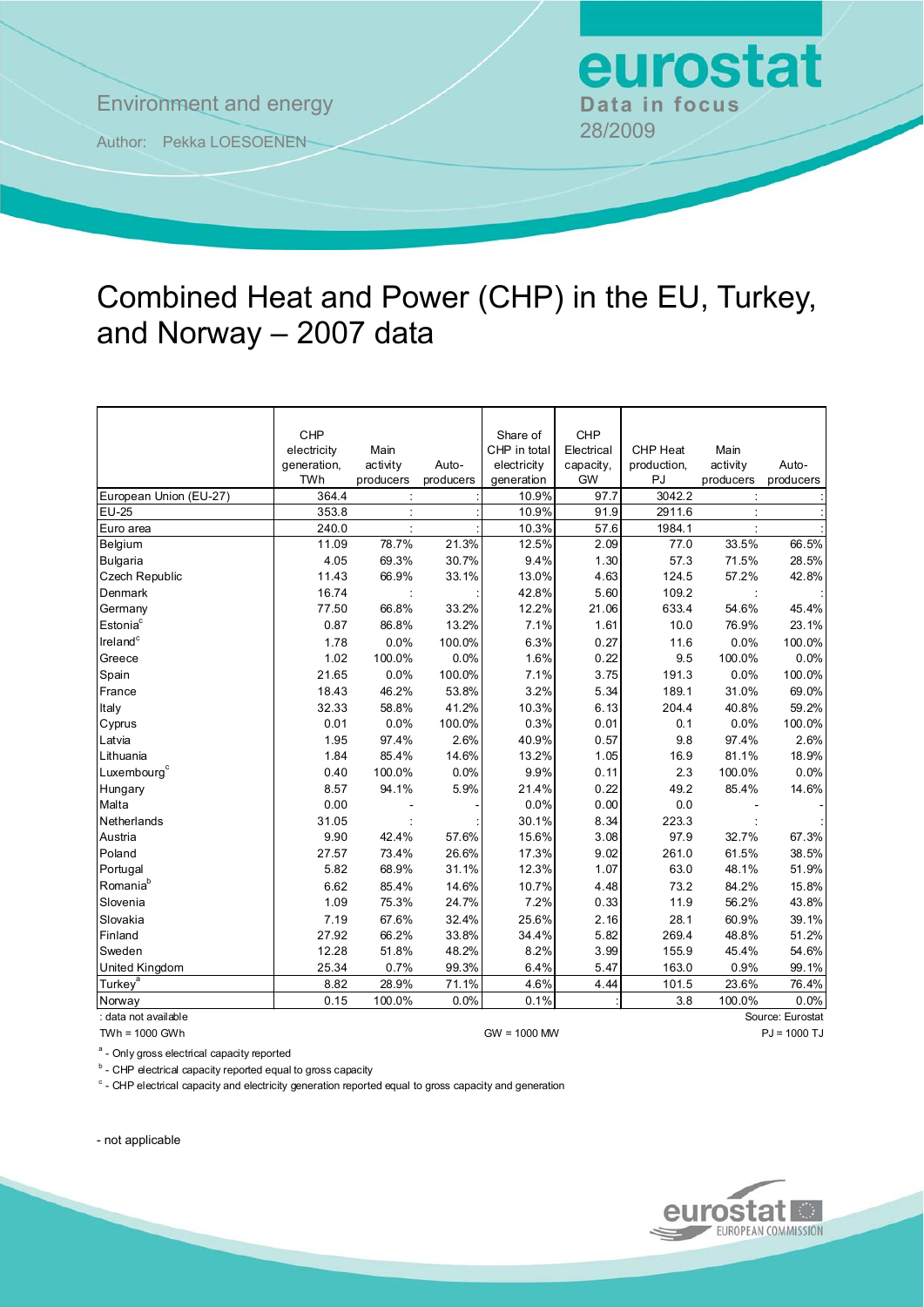**Environment and energy Bata in focus** 

Author: Pekka LOESOENEN 28/2009

## Combined Heat and Power (CHP) in the EU, Turkey, and Norway – 2007 data

|                         | CHP                        |                  |           | Share of                  | <b>CHP</b>             |                         |                  |           |
|-------------------------|----------------------------|------------------|-----------|---------------------------|------------------------|-------------------------|------------------|-----------|
|                         | electricity<br>generation, | Main<br>activity | Auto-     | CHP in total              | Electrical             | CHP Heat<br>production, | Main<br>activity | Auto-     |
|                         | TWh                        | producers        | producers | electricity<br>generation | capacity,<br><b>GW</b> | PJ                      | producers        | producers |
| European Union (EU-27)  | 364.4                      |                  |           | 10.9%                     | 97.7                   | 3042.2                  |                  |           |
| <b>EU-25</b>            | 353.8                      |                  |           | 10.9%                     | 91.9                   | 2911.6                  |                  |           |
| Euro area               | 240.0                      |                  |           | 10.3%                     | 57.6                   | 1984.1                  |                  |           |
| Belgium                 | 11.09                      | 78.7%            | 21.3%     | 12.5%                     | 2.09                   | 77.0                    | 33.5%            | 66.5%     |
| Bulgaria                | 4.05                       | 69.3%            | 30.7%     | 9.4%                      | 1.30                   | 57.3                    | 71.5%            | 28.5%     |
| <b>Czech Republic</b>   | 11.43                      | 66.9%            | 33.1%     | 13.0%                     | 4.63                   | 124.5                   | 57.2%            | 42.8%     |
| Denmark                 | 16.74                      |                  |           | 42.8%                     | 5.60                   | 109.2                   |                  |           |
| Germany                 | 77.50                      | 66.8%            | 33.2%     | 12.2%                     | 21.06                  | 633.4                   | 54.6%            | 45.4%     |
| Estonia <sup>c</sup>    | 0.87                       | 86.8%            | 13.2%     | 7.1%                      | 1.61                   | 10.0                    | 76.9%            | 23.1%     |
|                         |                            |                  |           |                           |                        |                         |                  |           |
| Ireland <sup>c</sup>    | 1.78                       | 0.0%             | 100.0%    | 6.3%                      | 0.27                   | 11.6                    | 0.0%             | 100.0%    |
| Greece                  | 1.02                       | 100.0%           | 0.0%      | 1.6%                      | 0.22                   | 9.5                     | 100.0%           | 0.0%      |
| Spain                   | 21.65                      | 0.0%             | 100.0%    | 7.1%                      | 3.75                   | 191.3                   | 0.0%             | 100.0%    |
| France                  | 18.43                      | 46.2%            | 53.8%     | 3.2%                      | 5.34                   | 189.1                   | 31.0%            | 69.0%     |
| Italy                   | 32.33                      | 58.8%            | 41.2%     | 10.3%                     | 6.13                   | 204.4                   | 40.8%            | 59.2%     |
| Cyprus                  | 0.01                       | 0.0%             | 100.0%    | 0.3%                      | 0.01                   | 0.1                     | 0.0%             | 100.0%    |
| Latvia                  | 1.95                       | 97.4%            | 2.6%      | 40.9%                     | 0.57                   | 9.8                     | 97.4%            | 2.6%      |
| Lithuania               | 1.84                       | 85.4%            | 14.6%     | 13.2%                     | 1.05                   | 16.9                    | 81.1%            | 18.9%     |
| Luxembourg <sup>c</sup> | 0.40                       | 100.0%           | 0.0%      | 9.9%                      | 0.11                   | 2.3                     | 100.0%           | 0.0%      |
| Hungary                 | 8.57                       | 94.1%            | 5.9%      | 21.4%                     | 0.22                   | 49.2                    | 85.4%            | 14.6%     |
| Malta                   | 0.00                       |                  |           | 0.0%                      | 0.00                   | 0.0                     |                  |           |
| Netherlands             | 31.05                      |                  |           | 30.1%                     | 8.34                   | 223.3                   |                  |           |
| Austria                 | 9.90                       | 42.4%            | 57.6%     | 15.6%                     | 3.08                   | 97.9                    | 32.7%            | 67.3%     |
| Poland                  | 27.57                      | 73.4%            | 26.6%     | 17.3%                     | 9.02                   | 261.0                   | 61.5%            | 38.5%     |
| Portugal                | 5.82                       | 68.9%            | 31.1%     | 12.3%                     | 1.07                   | 63.0                    | 48.1%            | 51.9%     |
| Romania <sup>b</sup>    | 6.62                       | 85.4%            | 14.6%     | 10.7%                     | 4.48                   | 73.2                    | 84.2%            | 15.8%     |
| Slovenia                | 1.09                       | 75.3%            | 24.7%     | 7.2%                      | 0.33                   | 11.9                    | 56.2%            | 43.8%     |
| Slovakia                | 7.19                       | 67.6%            | 32.4%     | 25.6%                     | 2.16                   | 28.1                    | 60.9%            | 39.1%     |
| Finland                 | 27.92                      | 66.2%            | 33.8%     | 34.4%                     | 5.82                   | 269.4                   | 48.8%            | 51.2%     |
| Sweden                  | 12.28                      | 51.8%            | 48.2%     | 8.2%                      | 3.99                   | 155.9                   | 45.4%            | 54.6%     |
| <b>United Kingdom</b>   | 25.34                      | 0.7%             | 99.3%     | 6.4%                      | 5.47                   | 163.0                   | 0.9%             | 99.1%     |
| Turkey <sup>a</sup>     | 8.82                       | 28.9%            | 71.1%     | 4.6%                      | 4.44                   | 101.5                   | 23.6%            | 76.4%     |
| Norway                  | 0.15                       | 100.0%           | 0.0%      | 0.1%                      |                        | 3.8                     | 100.0%           | 0.0%      |

: data not available Source: Eurostat

TWh = 1000 GWh GW = 1000 MW PJ = 1000 TJ

<sup>a</sup> - Only gross electrical capacity reported

<sup>b</sup> - CHP electrical capacity reported equal to gross capacity

<sup>c</sup> - CHP electrical capacity and electricity generation reported equal to gross capacity and generation

- not applicable



eurostat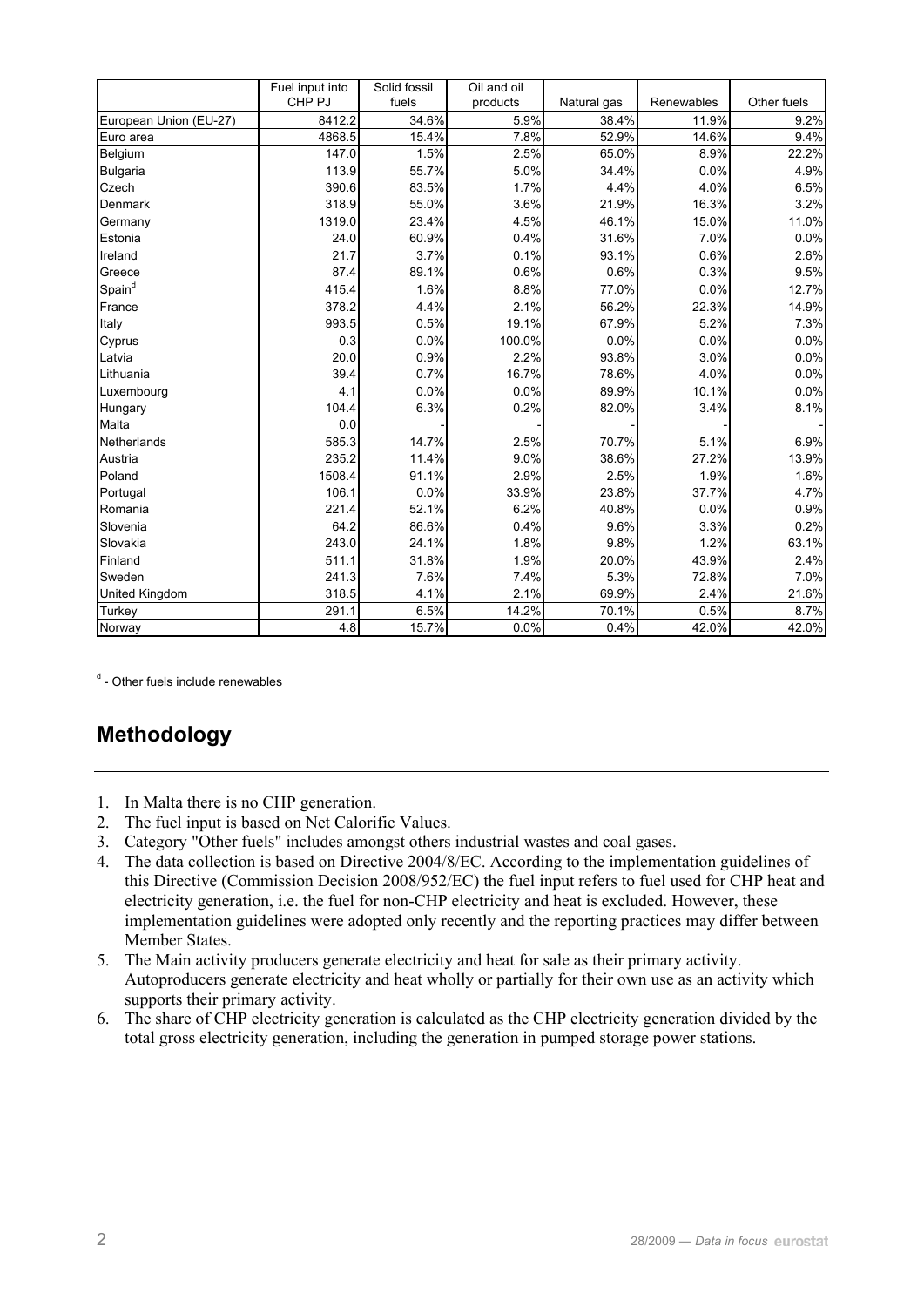|                        | Fuel input into   | Solid fossil | Oil and oil |             |            |             |  |
|------------------------|-------------------|--------------|-------------|-------------|------------|-------------|--|
|                        | CHP <sub>PJ</sub> | fuels        | products    | Natural gas | Renewables | Other fuels |  |
| European Union (EU-27) | 8412.2            | 34.6%        | 5.9%        | 38.4%       | 11.9%      | 9.2%        |  |
| Euro area              | 4868.5            | 15.4%        | 7.8%        | 52.9%       | 14.6%      | 9.4%        |  |
| Belgium                | 147.0             | 1.5%         | 2.5%        | 65.0%       | 8.9%       | 22.2%       |  |
| Bulgaria               | 113.9             | 55.7%        | 5.0%        | 34.4%       | 0.0%       | 4.9%        |  |
| Czech                  | 390.6             | 83.5%        | 1.7%        | 4.4%        | 4.0%       | 6.5%        |  |
| Denmark                | 318.9             | 55.0%        | 3.6%        | 21.9%       | 16.3%      | 3.2%        |  |
| Germany                | 1319.0            | 23.4%        | 4.5%        | 46.1%       | 15.0%      | 11.0%       |  |
| Estonia                | 24.0              | 60.9%        | 0.4%        | 31.6%       | 7.0%       | 0.0%        |  |
| Ireland                | 21.7              | 3.7%         | 0.1%        | 93.1%       | 0.6%       | 2.6%        |  |
| Greece                 | 87.4              | 89.1%        | 0.6%        | 0.6%        | 0.3%       | 9.5%        |  |
| Spain <sup>d</sup>     | 415.4             | 1.6%         | 8.8%        | 77.0%       | 0.0%       | 12.7%       |  |
| France                 | 378.2             | 4.4%         | 2.1%        | 56.2%       | 22.3%      | 14.9%       |  |
| Italy                  | 993.5             | 0.5%         | 19.1%       | 67.9%       | 5.2%       | 7.3%        |  |
| Cyprus                 | 0.3               | 0.0%         | 100.0%      | 0.0%        | 0.0%       | 0.0%        |  |
| Latvia                 | 20.0              | 0.9%         | 2.2%        | 93.8%       | 3.0%       | 0.0%        |  |
| Lithuania              | 39.4              | 0.7%         | 16.7%       | 78.6%       | 4.0%       | 0.0%        |  |
| Luxembourg             | 4.1               | 0.0%         | 0.0%        | 89.9%       | 10.1%      | 0.0%        |  |
| Hungary                | 104.4             | 6.3%         | 0.2%        | 82.0%       | 3.4%       | 8.1%        |  |
| Malta                  | 0.0               |              |             |             |            |             |  |
| Netherlands            | 585.3             | 14.7%        | 2.5%        | 70.7%       | 5.1%       | 6.9%        |  |
| Austria                | 235.2             | 11.4%        | 9.0%        | 38.6%       | 27.2%      | 13.9%       |  |
| Poland                 | 1508.4            | 91.1%        | 2.9%        | 2.5%        | 1.9%       | 1.6%        |  |
| Portugal               | 106.1             | 0.0%         | 33.9%       | 23.8%       | 37.7%      | 4.7%        |  |
| Romania                | 221.4             | 52.1%        | 6.2%        | 40.8%       | 0.0%       | 0.9%        |  |
| Slovenia               | 64.2              | 86.6%        | 0.4%        | 9.6%        | 3.3%       | 0.2%        |  |
| Slovakia               | 243.0             | 24.1%        | 1.8%        | 9.8%        | 1.2%       | 63.1%       |  |
| Finland                | 511.1             | 31.8%        | 1.9%        | 20.0%       | 43.9%      | 2.4%        |  |
| Sweden                 | 241.3             | 7.6%         | 7.4%        | 5.3%        | 72.8%      | 7.0%        |  |
| United Kingdom         | 318.5             | 4.1%         | 2.1%        | 69.9%       | 2.4%       | 21.6%       |  |
| Turkey                 | 291.1             | 6.5%         | 14.2%       | 70.1%       | 0.5%       | 8.7%        |  |
| Norway                 | 4.8               | 15.7%        | 0.0%        | 0.4%        | 42.0%      | 42.0%       |  |

<sup>d</sup> - Other fuels include renewables

## **Methodology**

- 1. In Malta there is no CHP generation.
- 2. The fuel input is based on Net Calorific Values.
- 3. Category "Other fuels" includes amongst others industrial wastes and coal gases.
- 4. The data collection is based on Directive 2004/8/EC. According to the implementation guidelines of this Directive (Commission Decision 2008/952/EC) the fuel input refers to fuel used for CHP heat and electricity generation, i.e. the fuel for non-CHP electricity and heat is excluded. However, these implementation guidelines were adopted only recently and the reporting practices may differ between Member States.
- 5. The Main activity producers generate electricity and heat for sale as their primary activity. Autoproducers generate electricity and heat wholly or partially for their own use as an activity which supports their primary activity.
- 6. The share of CHP electricity generation is calculated as the CHP electricity generation divided by the total gross electricity generation, including the generation in pumped storage power stations.